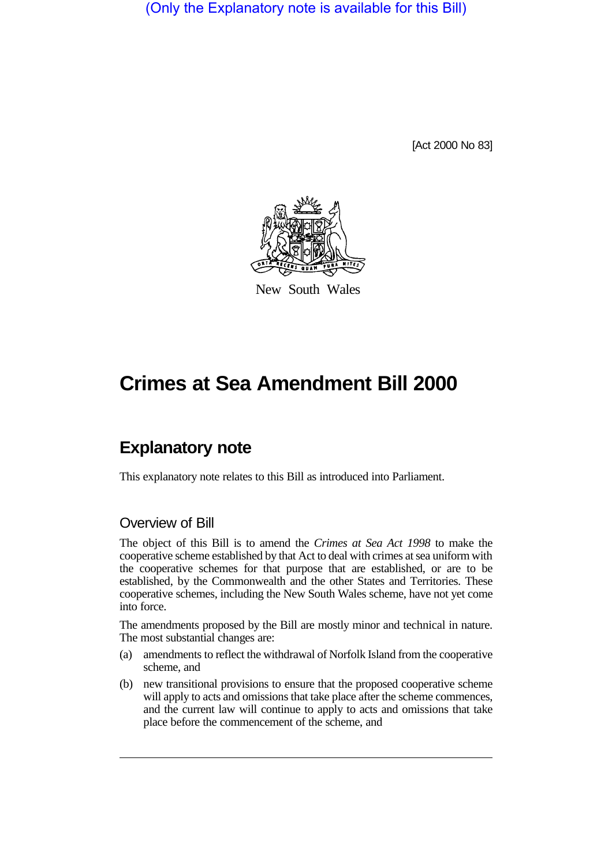(Only the Explanatory note is available for this Bill)

[Act 2000 No 83]



New South Wales

# **Crimes at Sea Amendment Bill 2000**

## **Explanatory note**

This explanatory note relates to this Bill as introduced into Parliament.

### Overview of Bill

The object of this Bill is to amend the *Crimes at Sea Act 1998* to make the cooperative scheme established by that Act to deal with crimes at sea uniform with the cooperative schemes for that purpose that are established, or are to be established, by the Commonwealth and the other States and Territories. These cooperative schemes, including the New South Wales scheme, have not yet come into force.

The amendments proposed by the Bill are mostly minor and technical in nature. The most substantial changes are:

- (a) amendments to reflect the withdrawal of Norfolk Island from the cooperative scheme, and
- (b) new transitional provisions to ensure that the proposed cooperative scheme will apply to acts and omissions that take place after the scheme commences, and the current law will continue to apply to acts and omissions that take place before the commencement of the scheme, and